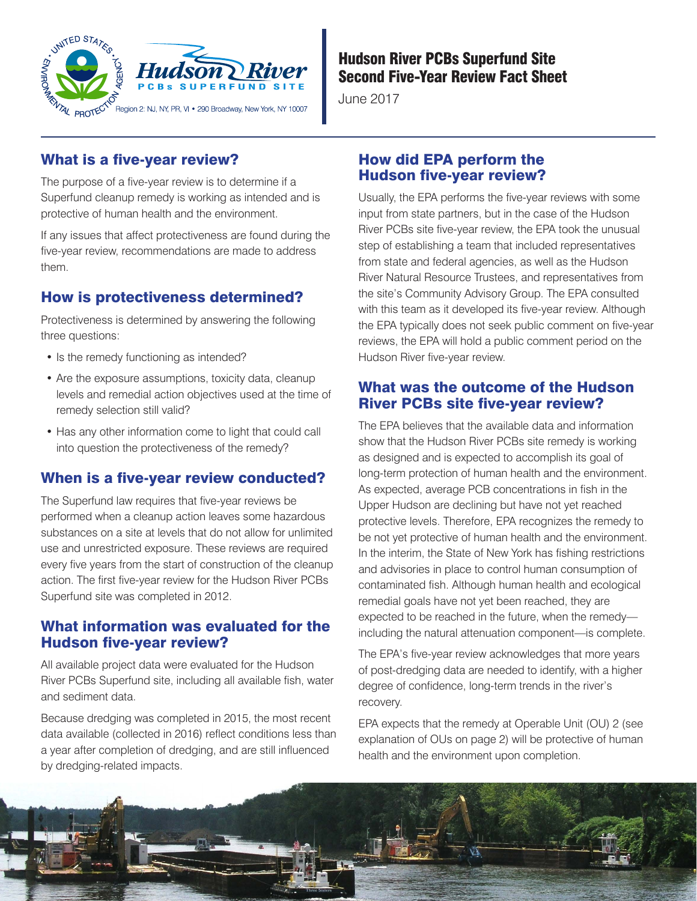

# Hudson River PCBs Superfund Site Second Five-Year Review Fact Sheet

June 2017

# What is a five-year review?

The purpose of a five-year review is to determine if a Superfund cleanup remedy is working as intended and is protective of human health and the environment.

If any issues that affect protectiveness are found during the five-year review, recommendations are made to address them.

# How is protectiveness determined?

Protectiveness is determined by answering the following three questions:

- Is the remedy functioning as intended?
- Are the exposure assumptions, toxicity data, cleanup levels and remedial action objectives used at the time of remedy selection still valid?
- Has any other information come to light that could call into question the protectiveness of the remedy?

# When is a five-year review conducted?

The Superfund law requires that five-year reviews be performed when a cleanup action leaves some hazardous substances on a site at levels that do not allow for unlimited use and unrestricted exposure. These reviews are required every five years from the start of construction of the cleanup action. The first five-year review for the Hudson River PCBs Superfund site was completed in 2012.

## What information was evaluated for the Hudson five-year review?

All available project data were evaluated for the Hudson River PCBs Superfund site, including all available fish, water and sediment data.

Because dredging was completed in 2015, the most recent data available (collected in 2016) reflect conditions less than a year after completion of dredging, and are still influenced by dredging-related impacts.

# How did EPA perform the Hudson five-year review?

Usually, the EPA performs the five-year reviews with some input from state partners, but in the case of the Hudson River PCBs site five-year review, the EPA took the unusual step of establishing a team that included representatives from state and federal agencies, as well as the Hudson River Natural Resource Trustees, and representatives from the site's Community Advisory Group. The EPA consulted with this team as it developed its five-year review. Although the EPA typically does not seek public comment on five-year reviews, the EPA will hold a public comment period on the Hudson River five-year review.

# What was the outcome of the Hudson River PCBs site five-year review?

The EPA believes that the available data and information show that the Hudson River PCBs site remedy is working as designed and is expected to accomplish its goal of long-term protection of human health and the environment. As expected, average PCB concentrations in fish in the Upper Hudson are declining but have not yet reached protective levels. Therefore, EPA recognizes the remedy to be not yet protective of human health and the environment. In the interim, the State of New York has fishing restrictions and advisories in place to control human consumption of contaminated fish. Although human health and ecological remedial goals have not yet been reached, they are expected to be reached in the future, when the remedy including the natural attenuation component—is complete.

The EPA's five-year review acknowledges that more years of post-dredging data are needed to identify, with a higher degree of confidence, long-term trends in the river's recovery.

EPA expects that the remedy at Operable Unit (OU) 2 (see explanation of OUs on page 2) will be protective of human health and the environment upon completion.

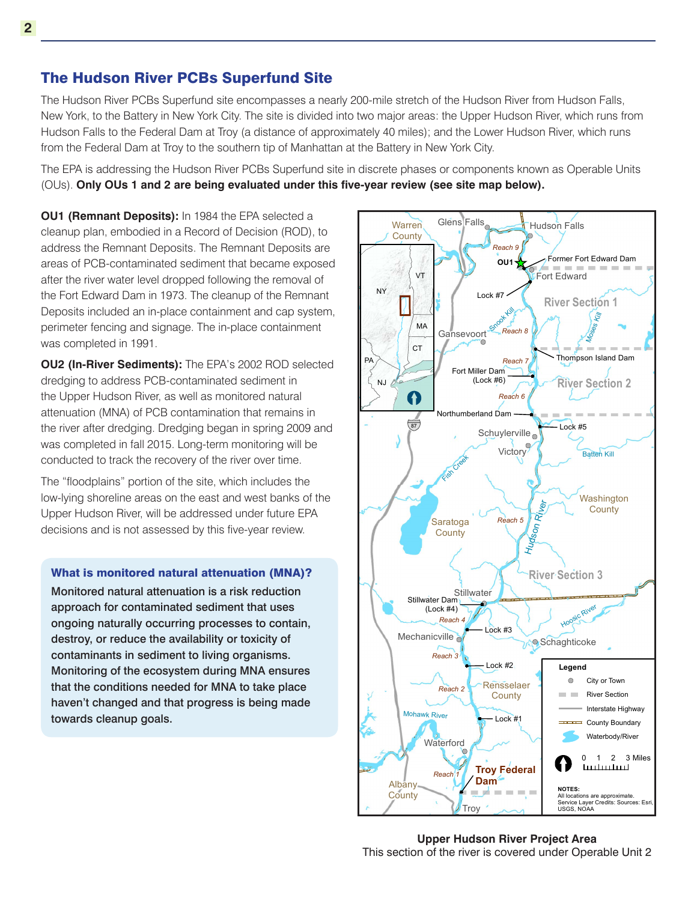## The Hudson River PCBs Superfund Site

The Hudson River PCBs Superfund site encompasses a nearly 200-mile stretch of the Hudson River from Hudson Falls, New York, to the Battery in New York City. The site is divided into two major areas: the Upper Hudson River, which runs from Hudson Falls to the Federal Dam at Troy (a distance of approximately 40 miles); and the Lower Hudson River, which runs from the Federal Dam at Troy to the southern tip of Manhattan at the Battery in New York City.

The EPA is addressing the Hudson River PCBs Superfund site in discrete phases or components known as Operable Units (OUs). **Only OUs 1 and 2 are being evaluated under this five-year review (see site map below).**

**OU1 (Remnant Deposits):** In 1984 the EPA selected a cleanup plan, embodied in a Record of Decision (ROD), to address the Remnant Deposits. The Remnant Deposits are areas of PCB-contaminated sediment that became exposed after the river water level dropped following the removal of the Fort Edward Dam in 1973. The cleanup of the Remnant Deposits included an in-place containment and cap system, perimeter fencing and signage. The in-place containment was completed in 1991.

**OU2 (In-River Sediments):** The EPA's 2002 ROD selected dredging to address PCB-contaminated sediment in the Upper Hudson River, as well as monitored natural attenuation (MNA) of PCB contamination that remains in the river after dredging. Dredging began in spring 2009 and was completed in fall 2015. Long-term monitoring will be conducted to track the recovery of the river over time.

The "floodplains" portion of the site, which includes the low-lying shoreline areas on the east and west banks of the Upper Hudson River, will be addressed under future EPA decisions and is not assessed by this five-year review.

What is monitored natural attenuation (MNA)?

Monitored natural attenuation is a risk reduction approach for contaminated sediment that uses ongoing naturally occurring processes to contain, destroy, or reduce the availability or toxicity of contaminants in sediment to living organisms. Monitoring of the ecosystem during MNA ensures that the conditions needed for MNA to take place haven't changed and that progress is being made towards cleanup goals.



**Upper Hudson River Project Area** This section of the river is covered under Operable Unit 2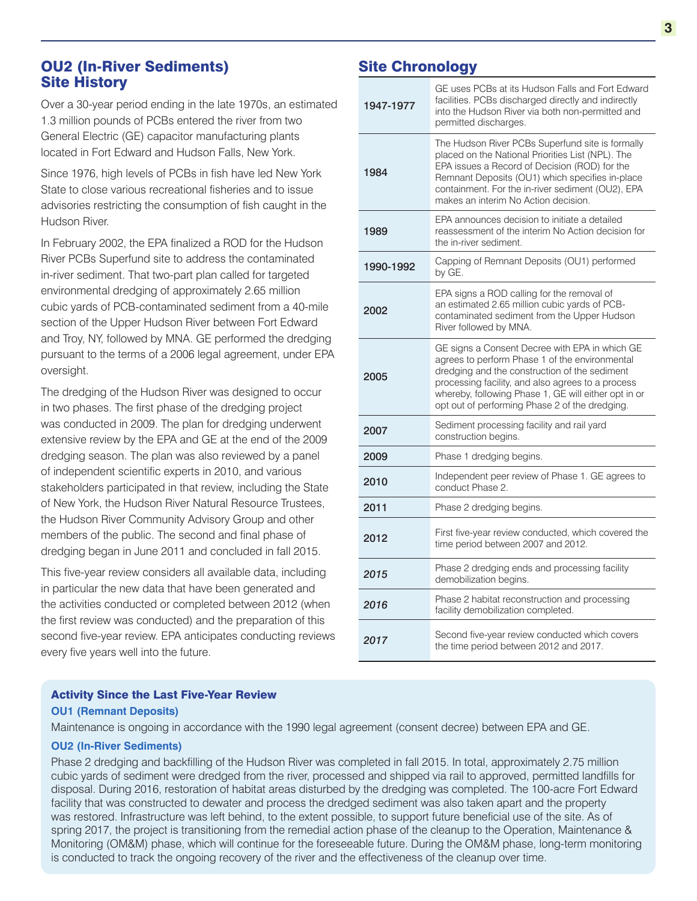# OU2 (In-River Sediments) Site History

Over a 30-year period ending in the late 1970s, an estimated 1.3 million pounds of PCBs entered the river from two General Electric (GE) capacitor manufacturing plants located in Fort Edward and Hudson Falls, New York.

Since 1976, high levels of PCBs in fish have led New York State to close various recreational fisheries and to issue advisories restricting the consumption of fish caught in the Hudson River.

In February 2002, the EPA finalized a ROD for the Hudson River PCBs Superfund site to address the contaminated in-river sediment. That two-part plan called for targeted environmental dredging of approximately 2.65 million cubic yards of PCB-contaminated sediment from a 40-mile section of the Upper Hudson River between Fort Edward and Troy, NY, followed by MNA. GE performed the dredging pursuant to the terms of a 2006 legal agreement, under EPA oversight.

The dredging of the Hudson River was designed to occur in two phases. The first phase of the dredging project was conducted in 2009. The plan for dredging underwent extensive review by the EPA and GE at the end of the 2009 dredging season. The plan was also reviewed by a panel of independent scientific experts in 2010, and various stakeholders participated in that review, including the State of New York, the Hudson River Natural Resource Trustees, the Hudson River Community Advisory Group and other members of the public. The second and final phase of dredging began in June 2011 and concluded in fall 2015.

This five-year review considers all available data, including in particular the new data that have been generated and the activities conducted or completed between 2012 (when the first review was conducted) and the preparation of this second five-year review. EPA anticipates conducting reviews every five years well into the future.

# Site Chronology

| 1947-1977 | GE uses PCBs at its Hudson Falls and Fort Edward<br>facilities. PCBs discharged directly and indirectly<br>into the Hudson River via both non-permitted and<br>permitted discharges.                                                                                                                             |  |
|-----------|------------------------------------------------------------------------------------------------------------------------------------------------------------------------------------------------------------------------------------------------------------------------------------------------------------------|--|
| 1984      | The Hudson River PCBs Superfund site is formally<br>placed on the National Priorities List (NPL). The<br>EPA issues a Record of Decision (ROD) for the<br>Remnant Deposits (OU1) which specifies in-place<br>containment. For the in-river sediment (OU2), EPA<br>makes an interim No Action decision.           |  |
| 1989      | EPA announces decision to initiate a detailed<br>reassessment of the interim No Action decision for<br>the in-river sediment.                                                                                                                                                                                    |  |
| 1990-1992 | Capping of Remnant Deposits (OU1) performed<br>by GE.                                                                                                                                                                                                                                                            |  |
| 2002      | EPA signs a ROD calling for the removal of<br>an estimated 2.65 million cubic yards of PCB-<br>contaminated sediment from the Upper Hudson<br>River followed by MNA.                                                                                                                                             |  |
| 2005      | GE signs a Consent Decree with EPA in which GE<br>agrees to perform Phase 1 of the environmental<br>dredging and the construction of the sediment<br>processing facility, and also agrees to a process<br>whereby, following Phase 1, GE will either opt in or<br>opt out of performing Phase 2 of the dredging. |  |
| 2007      | Sediment processing facility and rail yard<br>construction begins.                                                                                                                                                                                                                                               |  |
| 2009      | Phase 1 dredging begins.                                                                                                                                                                                                                                                                                         |  |
| 2010      | Independent peer review of Phase 1. GE agrees to<br>conduct Phase 2.                                                                                                                                                                                                                                             |  |
| 2011      | Phase 2 dredging begins.                                                                                                                                                                                                                                                                                         |  |
| 2012      | First five-year review conducted, which covered the<br>time period between 2007 and 2012.                                                                                                                                                                                                                        |  |
| 2015      | Phase 2 dredging ends and processing facility<br>demobilization begins.                                                                                                                                                                                                                                          |  |
| 2016      | Phase 2 habitat reconstruction and processing<br>facility demobilization completed.                                                                                                                                                                                                                              |  |
| 2017      | Second five-year review conducted which covers<br>the time period between 2012 and 2017.                                                                                                                                                                                                                         |  |

## Activity Since the Last Five-Year Review

#### **OU1 (Remnant Deposits)**

Maintenance is ongoing in accordance with the 1990 legal agreement (consent decree) between EPA and GE.

### **OU2 (In-River Sediments)**

Phase 2 dredging and backfilling of the Hudson River was completed in fall 2015. In total, approximately 2.75 million cubic yards of sediment were dredged from the river, processed and shipped via rail to approved, permitted landfills for disposal. During 2016, restoration of habitat areas disturbed by the dredging was completed. The 100-acre Fort Edward facility that was constructed to dewater and process the dredged sediment was also taken apart and the property was restored. Infrastructure was left behind, to the extent possible, to support future beneficial use of the site. As of spring 2017, the project is transitioning from the remedial action phase of the cleanup to the Operation, Maintenance & Monitoring (OM&M) phase, which will continue for the foreseeable future. During the OM&M phase, long-term monitoring is conducted to track the ongoing recovery of the river and the effectiveness of the cleanup over time.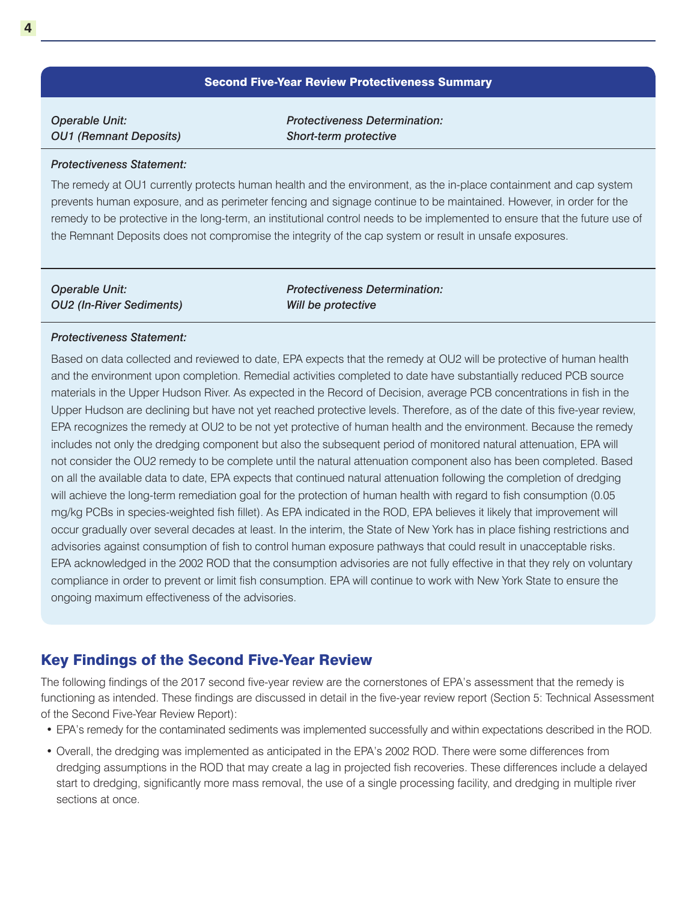#### Second Five-Year Review Protectiveness Summary

| <b>Operable Unit:</b>         |  |
|-------------------------------|--|
| <b>OU1 (Remnant Deposits)</b> |  |

*Protectiveness Determination: Short-term protective*

#### *Protectiveness Statement:*

The remedy at OU1 currently protects human health and the environment, as the in-place containment and cap system prevents human exposure, and as perimeter fencing and signage continue to be maintained. However, in order for the remedy to be protective in the long-term, an institutional control needs to be implemented to ensure that the future use of the Remnant Deposits does not compromise the integrity of the cap system or result in unsafe exposures.

| Operable Unit:           | <b>Protectiveness Determination:</b> |
|--------------------------|--------------------------------------|
| OU2 (In-River Sediments) | Will be protective                   |

### *Protectiveness Statement:*

Based on data collected and reviewed to date, EPA expects that the remedy at OU2 will be protective of human health and the environment upon completion. Remedial activities completed to date have substantially reduced PCB source materials in the Upper Hudson River. As expected in the Record of Decision, average PCB concentrations in fish in the Upper Hudson are declining but have not yet reached protective levels. Therefore, as of the date of this five-year review, EPA recognizes the remedy at OU2 to be not yet protective of human health and the environment. Because the remedy includes not only the dredging component but also the subsequent period of monitored natural attenuation, EPA will not consider the OU2 remedy to be complete until the natural attenuation component also has been completed. Based on all the available data to date, EPA expects that continued natural attenuation following the completion of dredging will achieve the long-term remediation goal for the protection of human health with regard to fish consumption (0.05 mg/kg PCBs in species-weighted fish fillet). As EPA indicated in the ROD, EPA believes it likely that improvement will occur gradually over several decades at least. In the interim, the State of New York has in place fishing restrictions and advisories against consumption of fish to control human exposure pathways that could result in unacceptable risks. EPA acknowledged in the 2002 ROD that the consumption advisories are not fully effective in that they rely on voluntary compliance in order to prevent or limit fish consumption. EPA will continue to work with New York State to ensure the ongoing maximum effectiveness of the advisories.

## Key Findings of the Second Five-Year Review

The following findings of the 2017 second five-year review are the cornerstones of EPA's assessment that the remedy is functioning as intended. These findings are discussed in detail in the five-year review report (Section 5: Technical Assessment of the Second Five-Year Review Report):

- EPA's remedy for the contaminated sediments was implemented successfully and within expectations described in the ROD.
- Overall, the dredging was implemented as anticipated in the EPA's 2002 ROD. There were some differences from dredging assumptions in the ROD that may create a lag in projected fish recoveries. These differences include a delayed start to dredging, significantly more mass removal, the use of a single processing facility, and dredging in multiple river sections at once.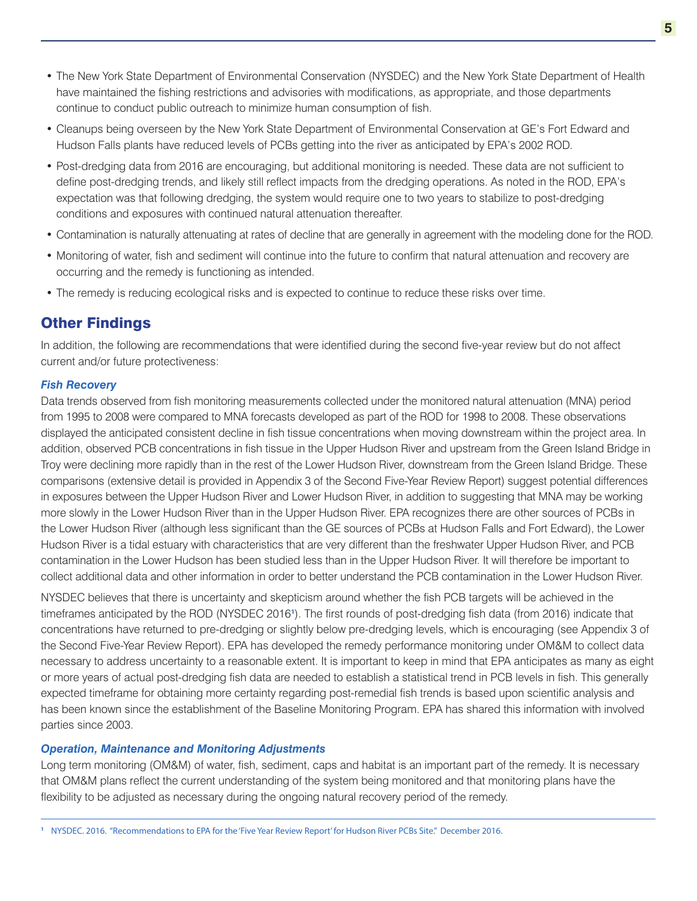- The New York State Department of Environmental Conservation (NYSDEC) and the New York State Department of Health have maintained the fishing restrictions and advisories with modifications, as appropriate, and those departments continue to conduct public outreach to minimize human consumption of fish.
- Cleanups being overseen by the New York State Department of Environmental Conservation at GE's Fort Edward and Hudson Falls plants have reduced levels of PCBs getting into the river as anticipated by EPA's 2002 ROD.
- Post-dredging data from 2016 are encouraging, but additional monitoring is needed. These data are not sufficient to define post-dredging trends, and likely still reflect impacts from the dredging operations. As noted in the ROD, EPA's expectation was that following dredging, the system would require one to two years to stabilize to post-dredging conditions and exposures with continued natural attenuation thereafter.
- Contamination is naturally attenuating at rates of decline that are generally in agreement with the modeling done for the ROD.
- Monitoring of water, fish and sediment will continue into the future to confirm that natural attenuation and recovery are occurring and the remedy is functioning as intended.
- The remedy is reducing ecological risks and is expected to continue to reduce these risks over time.

## Other Findings

In addition, the following are recommendations that were identified during the second five-year review but do not affect current and/or future protectiveness:

#### *Fish Recovery*

Data trends observed from fish monitoring measurements collected under the monitored natural attenuation (MNA) period from 1995 to 2008 were compared to MNA forecasts developed as part of the ROD for 1998 to 2008. These observations displayed the anticipated consistent decline in fish tissue concentrations when moving downstream within the project area. In addition, observed PCB concentrations in fish tissue in the Upper Hudson River and upstream from the Green Island Bridge in Troy were declining more rapidly than in the rest of the Lower Hudson River, downstream from the Green Island Bridge. These comparisons (extensive detail is provided in Appendix 3 of the Second Five-Year Review Report) suggest potential differences in exposures between the Upper Hudson River and Lower Hudson River, in addition to suggesting that MNA may be working more slowly in the Lower Hudson River than in the Upper Hudson River. EPA recognizes there are other sources of PCBs in the Lower Hudson River (although less significant than the GE sources of PCBs at Hudson Falls and Fort Edward), the Lower Hudson River is a tidal estuary with characteristics that are very different than the freshwater Upper Hudson River, and PCB contamination in the Lower Hudson has been studied less than in the Upper Hudson River. It will therefore be important to collect additional data and other information in order to better understand the PCB contamination in the Lower Hudson River.

NYSDEC believes that there is uncertainty and skepticism around whether the fish PCB targets will be achieved in the timeframes anticipated by the ROD (NYSDEC 2016**<sup>1</sup>** ). The first rounds of post-dredging fish data (from 2016) indicate that concentrations have returned to pre-dredging or slightly below pre-dredging levels, which is encouraging (see Appendix 3 of the Second Five-Year Review Report). EPA has developed the remedy performance monitoring under OM&M to collect data necessary to address uncertainty to a reasonable extent. It is important to keep in mind that EPA anticipates as many as eight or more years of actual post-dredging fish data are needed to establish a statistical trend in PCB levels in fish. This generally expected timeframe for obtaining more certainty regarding post-remedial fish trends is based upon scientific analysis and has been known since the establishment of the Baseline Monitoring Program. EPA has shared this information with involved parties since 2003.

#### *Operation, Maintenance and Monitoring Adjustments*

Long term monitoring (OM&M) of water, fish, sediment, caps and habitat is an important part of the remedy. It is necessary that OM&M plans reflect the current understanding of the system being monitored and that monitoring plans have the flexibility to be adjusted as necessary during the ongoing natural recovery period of the remedy.

**<sup>1</sup>** NYSDEC. 2016. "Recommendations to EPA for the 'Five Year Review Report' for Hudson River PCBs Site." December 2016.